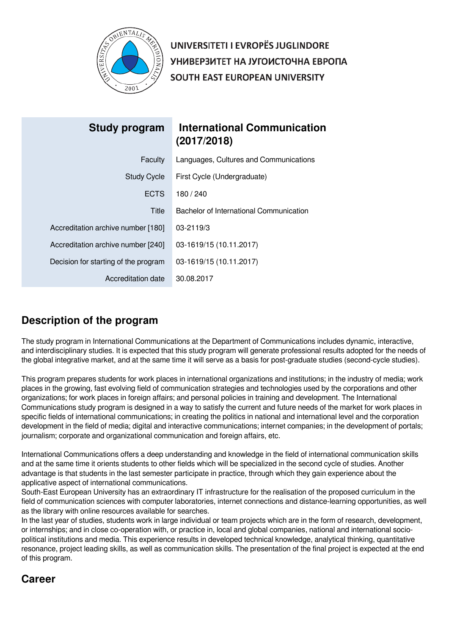

UNIVERSITETI I EVROPËS JUGLINDORE УНИВЕРЗИТЕТ НА ЈУГОИСТОЧНА ЕВРОПА SOUTH EAST EUROPEAN UNIVERSITY

| Study program                        | <b>International Communication</b><br>(2017/2018) |
|--------------------------------------|---------------------------------------------------|
| Faculty                              | Languages, Cultures and Communications            |
| <b>Study Cycle</b>                   | First Cycle (Undergraduate)                       |
| <b>ECTS</b>                          | 180 / 240                                         |
| Title                                | Bachelor of International Communication           |
| Accreditation archive number [180]   | 03-2119/3                                         |
| Accreditation archive number [240]   | 03-1619/15 (10.11.2017)                           |
| Decision for starting of the program | 03-1619/15 (10.11.2017)                           |
| Accreditation date                   | 30.08.2017                                        |

# **Description of the program**

The study program in International Communications at the Department of Communications includes dynamic, interactive, and interdisciplinary studies. It is expected that this study program will generate professional results adopted for the needs of the global integrative market, and at the same time it will serve as a basis for post-graduate studies (second-cycle studies).

This program prepares students for work places in international organizations and institutions; in the industry of media; work places in the growing, fast evolving field of communication strategies and technologies used by the corporations and other organizations; for work places in foreign affairs; and personal policies in training and development. The International Communications study program is designed in a way to satisfy the current and future needs of the market for work places in specific fields of international communications; in creating the politics in national and international level and the corporation development in the field of media; digital and interactive communications; internet companies; in the development of portals; journalism; corporate and organizational communication and foreign affairs, etc.

International Communications offers a deep understanding and knowledge in the field of international communication skills and at the same time it orients students to other fields which will be specialized in the second cycle of studies. Another advantage is that students in the last semester participate in practice, through which they gain experience about the applicative aspect of international communications.

South-East European University has an extraordinary IT infrastructure for the realisation of the proposed curriculum in the field of communication sciences with computer laboratories, internet connections and distance-learning opportunities, as well as the library with online resources available for searches.

In the last year of studies, students work in large individual or team projects which are in the form of research, development, or internships; and in close co-operation with, or practice in, local and global companies, national and international sociopolitical institutions and media. This experience results in developed technical knowledge, analytical thinking, quantitative resonance, project leading skills, as well as communication skills. The presentation of the final project is expected at the end of this program.

# **Career**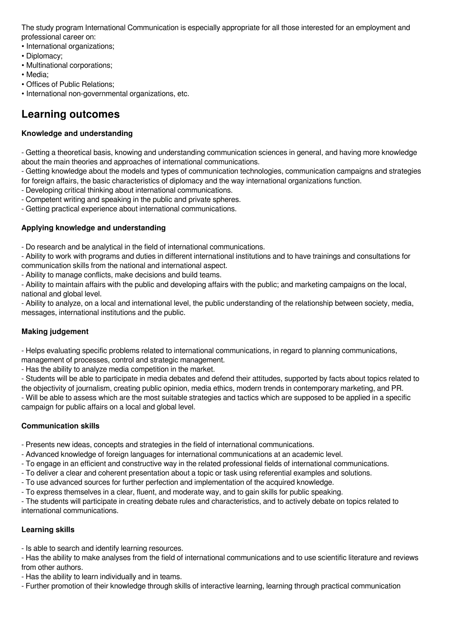The study program International Communication is especially appropriate for all those interested for an employment and professional career on:

• International organizations;

- Diplomacy;
- Multinational corporations;
- Media;
- Offices of Public Relations;
- International non-governmental organizations, etc.

# **Learning outcomes**

# **Knowledge and understanding**

- Getting a theoretical basis, knowing and understanding communication sciences in general, and having more knowledge about the main theories and approaches of international communications.

- Getting knowledge about the models and types of communication technologies, communication campaigns and strategies for foreign affairs, the basic characteristics of diplomacy and the way international organizations function.

- Developing critical thinking about international communications.

- Competent writing and speaking in the public and private spheres.

- Getting practical experience about international communications.

# **Applying knowledge and understanding**

- Do research and be analytical in the field of international communications.

- Ability to work with programs and duties in different international institutions and to have trainings and consultations for communication skills from the national and international aspect.

- Ability to manage conflicts, make decisions and build teams.

- Ability to maintain affairs with the public and developing affairs with the public; and marketing campaigns on the local, national and global level.

- Ability to analyze, on a local and international level, the public understanding of the relationship between society, media, messages, international institutions and the public.

# **Making judgement**

- Helps evaluating specific problems related to international communications, in regard to planning communications, management of processes, control and strategic management.

- Has the ability to analyze media competition in the market.

- Students will be able to participate in media debates and defend their attitudes, supported by facts about topics related to the objectivity of journalism, creating public opinion, media ethics, modern trends in contemporary marketing, and PR. - Will be able to assess which are the most suitable strategies and tactics which are supposed to be applied in a specific campaign for public affairs on a local and global level.

# **Communication skills**

- Presents new ideas, concepts and strategies in the field of international communications.

- Advanced knowledge of foreign languages for international communications at an academic level.

- To engage in an efficient and constructive way in the related professional fields of international communications.
- To deliver a clear and coherent presentation about a topic or task using referential examples and solutions.
- To use advanced sources for further perfection and implementation of the acquired knowledge.

- To express themselves in a clear, fluent, and moderate way, and to gain skills for public speaking.

- The students will participate in creating debate rules and characteristics, and to actively debate on topics related to international communications.

# **Learning skills**

- Is able to search and identify learning resources.

- Has the ability to make analyses from the field of international communications and to use scientific literature and reviews from other authors.

- Has the ability to learn individually and in teams.

- Further promotion of their knowledge through skills of interactive learning, learning through practical communication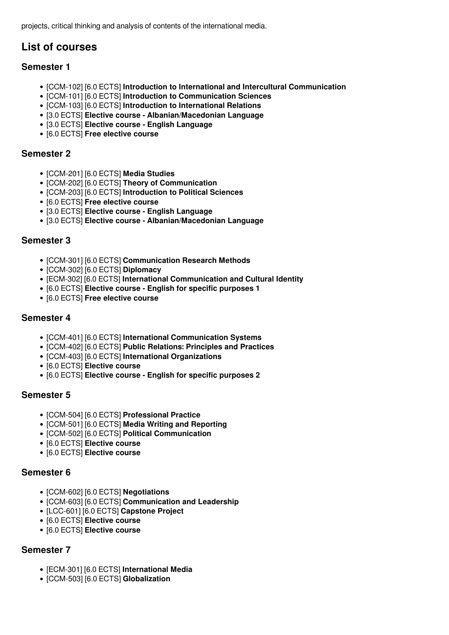projects, critical thinking and analysis of contents of the international media.

# **List of courses**

# **Semester 1**

- [CCM-102] [6.0 ECTS] **Introduction to International and Intercultural Communication**
- [CCM-101] [6.0 ECTS] **Introduction to Communication Sciences**
- [CCM-103] [6.0 ECTS] **Introduction to International Relations**
- [3.0 ECTS] **Elective course Albanian/Macedonian Language**
- [3.0 ECTS] **Elective course English Language**
- [6.0 ECTS] **Free elective course**

# **Semester 2**

- [CCM-201] [6.0 ECTS] **Media Studies**
- [CCM-202] [6.0 ECTS] **Theory of Communication**
- [CCM-203] [6.0 ECTS] **Introduction to Political Sciences**
- [6.0 ECTS] **Free elective course**
- [3.0 ECTS] **Elective course English Language**
- [3.0 ECTS] **Elective course Albanian/Macedonian Language**

# **Semester 3**

- [CCM-301] [6.0 ECTS] **Communication Research Methods**
- [CCM-302] [6.0 ECTS] **Diplomacy**
- [ECM-302] [6.0 ECTS] **International Communication and Cultural Identity**
- [6.0 ECTS] **Elective course English for specific purposes 1**
- [6.0 ECTS] **Free elective course**

# **Semester 4**

- [CCM-401] [6.0 ECTS] **International Communication Systems**
- [CCM-402] [6.0 ECTS] **Public Relations: Principles and Practices**
- [CCM-403] [6.0 ECTS] **International Organizations**
- [6.0 ECTS] **Elective course**
- [6.0 ECTS] **Elective course English for specific purposes 2**

# **Semester 5**

- [CCM-504] [6.0 ECTS] **Professional Practice**
- [CCM-501] [6.0 ECTS] **Media Writing and Reporting**
- [CCM-502] [6.0 ECTS] **Political Communication**
- [6.0 ECTS] **Elective course**
- [6.0 ECTS] **Elective course**

# **Semester 6**

- [CCM-602] [6.0 ECTS] **Negotiations**
- [CCM-603] [6.0 ECTS] **Communication and Leadership**
- [LCC-601] [6.0 ECTS] **Capstone Project**
- [6.0 ECTS] **Elective course**
- [6.0 ECTS] **Elective course**

# **Semester 7**

- [ECM-301] [6.0 ECTS] **International Media**
- [CCM-503] [6.0 ECTS] **Globalization**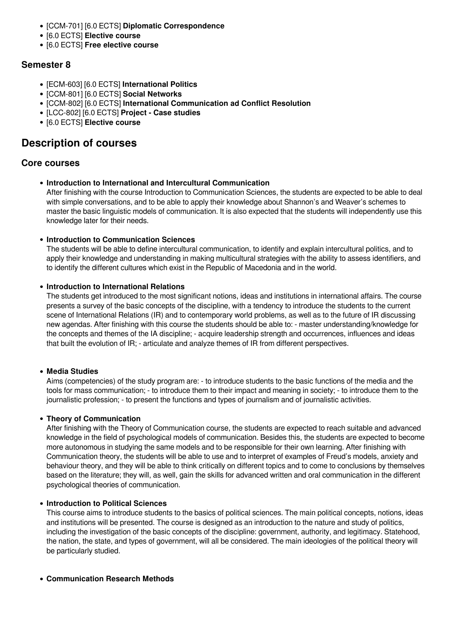- [CCM-701] [6.0 ECTS] **Diplomatic Correspondence**
- [6.0 ECTS] **Elective course**
- [6.0 ECTS] **Free elective course**

# **Semester 8**

- [ECM-603] [6.0 ECTS] **International Politics**
- [CCM-801] [6.0 ECTS] **Social Networks**
- [CCM-802] [6.0 ECTS] **International Communication ad Conflict Resolution**
- [LCC-802] [6.0 ECTS] **Project Case studies**
- [6.0 ECTS] **Elective course**

# **Description of courses**

# **Core courses**

**Introduction to International and Intercultural Communication**

After finishing with the course Introduction to Communication Sciences, the students are expected to be able to deal with simple conversations, and to be able to apply their knowledge about Shannon's and Weaver's schemes to master the basic linguistic models of communication. It is also expected that the students will independently use this knowledge later for their needs.

**Introduction to Communication Sciences**

The students will be able to define intercultural communication, to identify and explain intercultural politics, and to apply their knowledge and understanding in making multicultural strategies with the ability to assess identifiers, and to identify the different cultures which exist in the Republic of Macedonia and in the world.

# **Introduction to International Relations**

The students get introduced to the most significant notions, ideas and institutions in international affairs. The course presents a survey of the basic concepts of the discipline, with a tendency to introduce the students to the current scene of International Relations (IR) and to contemporary world problems, as well as to the future of IR discussing new agendas. After finishing with this course the students should be able to: - master understanding/knowledge for the concepts and themes of the IA discipline; - acquire leadership strength and occurrences, influences and ideas that built the evolution of IR; - articulate and analyze themes of IR from different perspectives.

# **Media Studies**

Aims (competencies) of the study program are: - to introduce students to the basic functions of the media and the tools for mass communication; - to introduce them to their impact and meaning in society; - to introduce them to the journalistic profession; - to present the functions and types of journalism and of journalistic activities.

# **Theory of Communication**

After finishing with the Theory of Communication course, the students are expected to reach suitable and advanced knowledge in the field of psychological models of communication. Besides this, the students are expected to become more autonomous in studying the same models and to be responsible for their own learning. After finishing with Communication theory, the students will be able to use and to interpret of examples of Freud's models, anxiety and behaviour theory, and they will be able to think critically on different topics and to come to conclusions by themselves based on the literature; they will, as well, gain the skills for advanced written and oral communication in the different psychological theories of communication.

# **Introduction to Political Sciences**

This course aims to introduce students to the basics of political sciences. The main political concepts, notions, ideas and institutions will be presented. The course is designed as an introduction to the nature and study of politics, including the investigation of the basic concepts of the discipline: government, authority, and legitimacy. Statehood, the nation, the state, and types of government, will all be considered. The main ideologies of the political theory will be particularly studied.

# **Communication Research Methods**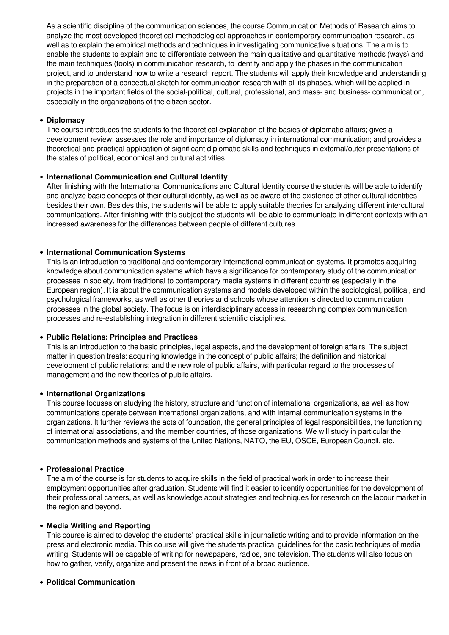As a scientific discipline of the communication sciences, the course Communication Methods of Research aims to analyze the most developed theoretical-methodological approaches in contemporary communication research, as well as to explain the empirical methods and techniques in investigating communicative situations. The aim is to enable the students to explain and to differentiate between the main qualitative and quantitative methods (ways) and the main techniques (tools) in communication research, to identify and apply the phases in the communication project, and to understand how to write a research report. The students will apply their knowledge and understanding in the preparation of a conceptual sketch for communication research with all its phases, which will be applied in projects in the important fields of the social-political, cultural, professional, and mass- and business- communication, especially in the organizations of the citizen sector.

## **Diplomacy**

The course introduces the students to the theoretical explanation of the basics of diplomatic affairs; gives a development review; assesses the role and importance of diplomacy in international communication; and provides a theoretical and practical application of significant diplomatic skills and techniques in external/outer presentations of the states of political, economical and cultural activities.

### **International Communication and Cultural Identity**

After finishing with the International Communications and Cultural Identity course the students will be able to identify and analyze basic concepts of their cultural identity, as well as be aware of the existence of other cultural identities besides their own. Besides this, the students will be able to apply suitable theories for analyzing different intercultural communications. After finishing with this subject the students will be able to communicate in different contexts with an increased awareness for the differences between people of different cultures.

## **International Communication Systems**

This is an introduction to traditional and contemporary international communication systems. It promotes acquiring knowledge about communication systems which have a significance for contemporary study of the communication processes in society, from traditional to contemporary media systems in different countries (especially in the European region). It is about the communication systems and models developed within the sociological, political, and psychological frameworks, as well as other theories and schools whose attention is directed to communication processes in the global society. The focus is on interdisciplinary access in researching complex communication processes and re-establishing integration in different scientific disciplines.

#### **Public Relations: Principles and Practices**

This is an introduction to the basic principles, legal aspects, and the development of foreign affairs. The subject matter in question treats: acquiring knowledge in the concept of public affairs; the definition and historical development of public relations; and the new role of public affairs, with particular regard to the processes of management and the new theories of public affairs.

#### **International Organizations**

This course focuses on studying the history, structure and function of international organizations, as well as how communications operate between international organizations, and with internal communication systems in the organizations. It further reviews the acts of foundation, the general principles of legal responsibilities, the functioning of international associations, and the member countries, of those organizations. We will study in particular the communication methods and systems of the United Nations, NATO, the EU, OSCE, European Council, etc.

#### **Professional Practice**

The aim of the course is for students to acquire skills in the field of practical work in order to increase their employment opportunities after graduation. Students will find it easier to identify opportunities for the development of their professional careers, as well as knowledge about strategies and techniques for research on the labour market in the region and beyond.

## **Media Writing and Reporting**

This course is aimed to develop the students' practical skills in journalistic writing and to provide information on the press and electronic media. This course will give the students practical guidelines for the basic techniques of media writing. Students will be capable of writing for newspapers, radios, and television. The students will also focus on how to gather, verify, organize and present the news in front of a broad audience.

# **Political Communication**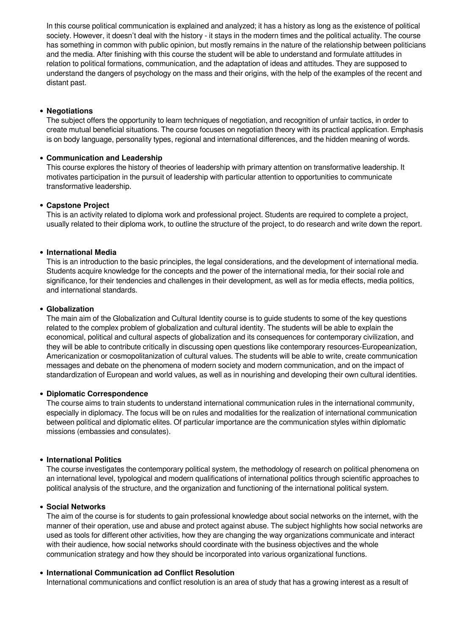In this course political communication is explained and analyzed; it has a history as long as the existence of political society. However, it doesn't deal with the history - it stays in the modern times and the political actuality. The course has something in common with public opinion, but mostly remains in the nature of the relationship between politicians and the media. After finishing with this course the student will be able to understand and formulate attitudes in relation to political formations, communication, and the adaptation of ideas and attitudes. They are supposed to understand the dangers of psychology on the mass and their origins, with the help of the examples of the recent and distant past.

# **Negotiations**

The subject offers the opportunity to learn techniques of negotiation, and recognition of unfair tactics, in order to create mutual beneficial situations. The course focuses on negotiation theory with its practical application. Emphasis is on body language, personality types, regional and international differences, and the hidden meaning of words.

# **Communication and Leadership**

This course explores the history of theories of leadership with primary attention on transformative leadership. It motivates participation in the pursuit of leadership with particular attention to opportunities to communicate transformative leadership.

# **Capstone Project**

This is an activity related to diploma work and professional project. Students are required to complete a project, usually related to their diploma work, to outline the structure of the project, to do research and write down the report.

# **International Media**

This is an introduction to the basic principles, the legal considerations, and the development of international media. Students acquire knowledge for the concepts and the power of the international media, for their social role and significance, for their tendencies and challenges in their development, as well as for media effects, media politics, and international standards.

# **Globalization**

The main aim of the Globalization and Cultural Identity course is to guide students to some of the key questions related to the complex problem of globalization and cultural identity. The students will be able to explain the economical, political and cultural aspects of globalization and its consequences for contemporary civilization, and they will be able to contribute critically in discussing open questions like contemporary resources-Europeanization, Americanization or cosmopolitanization of cultural values. The students will be able to write, create communication messages and debate on the phenomena of modern society and modern communication, and on the impact of standardization of European and world values, as well as in nourishing and developing their own cultural identities.

# **Diplomatic Correspondence**

The course aims to train students to understand international communication rules in the international community, especially in diplomacy. The focus will be on rules and modalities for the realization of international communication between political and diplomatic elites. Of particular importance are the communication styles within diplomatic missions (embassies and consulates).

# **International Politics**

The course investigates the contemporary political system, the methodology of research on political phenomena on an international level, typological and modern qualifications of international politics through scientific approaches to political analysis of the structure, and the organization and functioning of the international political system.

# **Social Networks**

The aim of the course is for students to gain professional knowledge about social networks on the internet, with the manner of their operation, use and abuse and protect against abuse. The subject highlights how social networks are used as tools for different other activities, how they are changing the way organizations communicate and interact with their audience, how social networks should coordinate with the business objectives and the whole communication strategy and how they should be incorporated into various organizational functions.

# **International Communication ad Conflict Resolution**

International communications and conflict resolution is an area of study that has a growing interest as a result of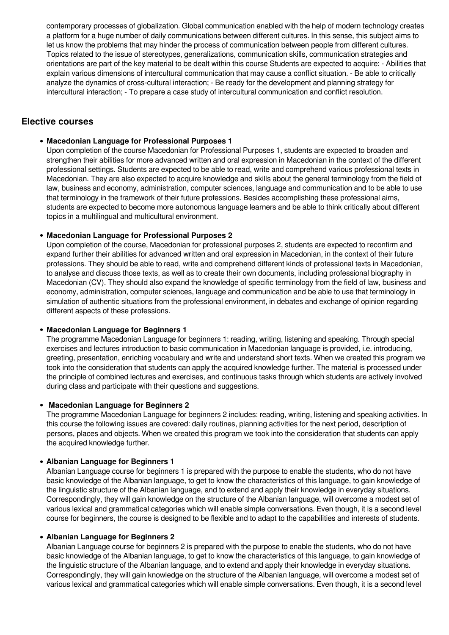contemporary processes of globalization. Global communication enabled with the help of modern technology creates a platform for a huge number of daily communications between different cultures. In this sense, this subject aims to let us know the problems that may hinder the process of communication between people from different cultures. Topics related to the issue of stereotypes, generalizations, communication skills, communication strategies and orientations are part of the key material to be dealt within this course Students are expected to acquire: - Abilities that explain various dimensions of intercultural communication that may cause a conflict situation. - Be able to critically analyze the dynamics of cross-cultural interaction; - Be ready for the development and planning strategy for intercultural interaction; - To prepare a case study of intercultural communication and conflict resolution.

# **Elective courses**

## **Macedonian Language for Professional Purposes 1**

Upon completion of the course Macedonian for Professional Purposes 1, students are expected to broaden and strengthen their abilities for more advanced written and oral expression in Macedonian in the context of the different professional settings. Students are expected to be able to read, write and comprehend various professional texts in Macedonian. They are also expected to acquire knowledge and skills about the general terminology from the field of law, business and economy, administration, computer sciences, language and communication and to be able to use that terminology in the framework of their future professions. Besides accomplishing these professional aims, students are expected to become more autonomous language learners and be able to think critically about different topics in a multilingual and multicultural environment.

# **Macedonian Language for Professional Purposes 2**

Upon completion of the course, Macedonian for professional purposes 2, students are expected to reconfirm and expand further their abilities for advanced written and oral expression in Macedonian, in the context of their future professions. They should be able to read, write and comprehend different kinds of professional texts in Macedonian, to analyse and discuss those texts, as well as to create their own documents, including professional biography in Macedonian (CV). They should also expand the knowledge of specific terminology from the field of law, business and economy, administration, computer sciences, language and communication and be able to use that terminology in simulation of authentic situations from the professional environment, in debates and exchange of opinion regarding different aspects of these professions.

#### **Macedonian Language for Beginners 1**

The programme Macedonian Language for beginners 1: reading, writing, listening and speaking. Through special exercises and lectures introduction to basic communication in Macedonian language is provided, i.e. introducing, greeting, presentation, enriching vocabulary and write and understand short texts. When we created this program we took into the consideration that students can apply the acquired knowledge further. The material is processed under the principle of combined lectures and exercises, and continuous tasks through which students are actively involved during class and participate with their questions and suggestions.

#### **Macedonian Language for Beginners 2**

The programme Macedonian Language for beginners 2 includes: reading, writing, listening and speaking activities. In this course the following issues are covered: daily routines, planning activities for the next period, description of persons, places and objects. When we created this program we took into the consideration that students can apply the acquired knowledge further.

#### **Albanian Language for Beginners 1**

Albanian Language course for beginners 1 is prepared with the purpose to enable the students, who do not have basic knowledge of the Albanian language, to get to know the characteristics of this language, to gain knowledge of the linguistic structure of the Albanian language, and to extend and apply their knowledge in everyday situations. Correspondingly, they will gain knowledge on the structure of the Albanian language, will overcome a modest set of various lexical and grammatical categories which will enable simple conversations. Even though, it is a second level course for beginners, the course is designed to be flexible and to adapt to the capabilities and interests of students.

#### **Albanian Language for Beginners 2**

Albanian Language course for beginners 2 is prepared with the purpose to enable the students, who do not have basic knowledge of the Albanian language, to get to know the characteristics of this language, to gain knowledge of the linguistic structure of the Albanian language, and to extend and apply their knowledge in everyday situations. Correspondingly, they will gain knowledge on the structure of the Albanian language, will overcome a modest set of various lexical and grammatical categories which will enable simple conversations. Even though, it is a second level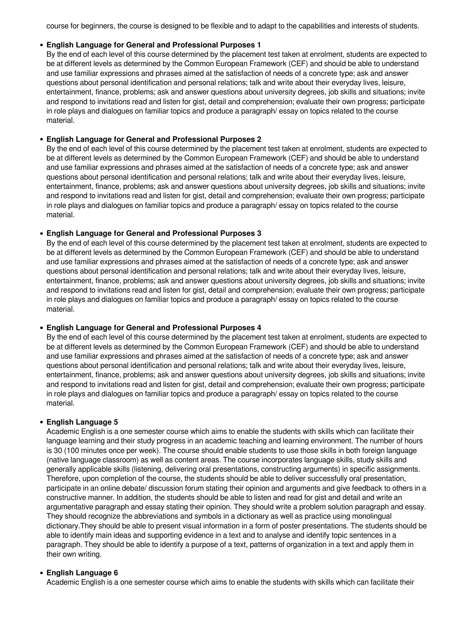course for beginners, the course is designed to be flexible and to adapt to the capabilities and interests of students.

#### **English Language for General and Professional Purposes 1**

By the end of each level of this course determined by the placement test taken at enrolment, students are expected to be at different levels as determined by the Common European Framework (CEF) and should be able to understand and use familiar expressions and phrases aimed at the satisfaction of needs of a concrete type; ask and answer questions about personal identification and personal relations; talk and write about their everyday lives, leisure, entertainment, finance, problems; ask and answer questions about university degrees, job skills and situations; invite and respond to invitations read and listen for gist, detail and comprehension; evaluate their own progress; participate in role plays and dialogues on familiar topics and produce a paragraph/ essay on topics related to the course material.

### **English Language for General and Professional Purposes 2**

By the end of each level of this course determined by the placement test taken at enrolment, students are expected to be at different levels as determined by the Common European Framework (CEF) and should be able to understand and use familiar expressions and phrases aimed at the satisfaction of needs of a concrete type; ask and answer questions about personal identification and personal relations; talk and write about their everyday lives, leisure, entertainment, finance, problems; ask and answer questions about university degrees, job skills and situations; invite and respond to invitations read and listen for gist, detail and comprehension; evaluate their own progress; participate in role plays and dialogues on familiar topics and produce a paragraph/ essay on topics related to the course material.

#### **English Language for General and Professional Purposes 3**

By the end of each level of this course determined by the placement test taken at enrolment, students are expected to be at different levels as determined by the Common European Framework (CEF) and should be able to understand and use familiar expressions and phrases aimed at the satisfaction of needs of a concrete type; ask and answer questions about personal identification and personal relations; talk and write about their everyday lives, leisure, entertainment, finance, problems; ask and answer questions about university degrees, job skills and situations; invite and respond to invitations read and listen for gist, detail and comprehension; evaluate their own progress; participate in role plays and dialogues on familiar topics and produce a paragraph/ essay on topics related to the course material.

#### **English Language for General and Professional Purposes 4**

By the end of each level of this course determined by the placement test taken at enrolment, students are expected to be at different levels as determined by the Common European Framework (CEF) and should be able to understand and use familiar expressions and phrases aimed at the satisfaction of needs of a concrete type; ask and answer questions about personal identification and personal relations; talk and write about their everyday lives, leisure, entertainment, finance, problems; ask and answer questions about university degrees, job skills and situations; invite and respond to invitations read and listen for gist, detail and comprehension; evaluate their own progress; participate in role plays and dialogues on familiar topics and produce a paragraph/ essay on topics related to the course material.

#### **English Language 5**

Academic English is a one semester course which aims to enable the students with skills which can facilitate their language learning and their study progress in an academic teaching and learning environment. The number of hours is 30 (100 minutes once per week). The course should enable students to use those skills in both foreign language (native language classroom) as well as content areas. The course incorporates language skills, study skills and generally applicable skills (listening, delivering oral presentations, constructing arguments) in specific assignments. Therefore, upon completion of the course, the students should be able to deliver successfully oral presentation, participate in an online debate/ discussion forum stating their opinion and arguments and give feedback to others in a constructive manner. In addition, the students should be able to listen and read for gist and detail and write an argumentative paragraph and essay stating their opinion. They should write a problem solution paragraph and essay. They should recognize the abbreviations and symbols in a dictionary as well as practice using monolingual dictionary.They should be able to present visual information in a form of poster presentations. The students should be able to identify main ideas and supporting evidence in a text and to analyse and identify topic sentences in a paragraph. They should be able to identify a purpose of a text, patterns of organization in a text and apply them in their own writing.

#### **English Language 6**

Academic English is a one semester course which aims to enable the students with skills which can facilitate their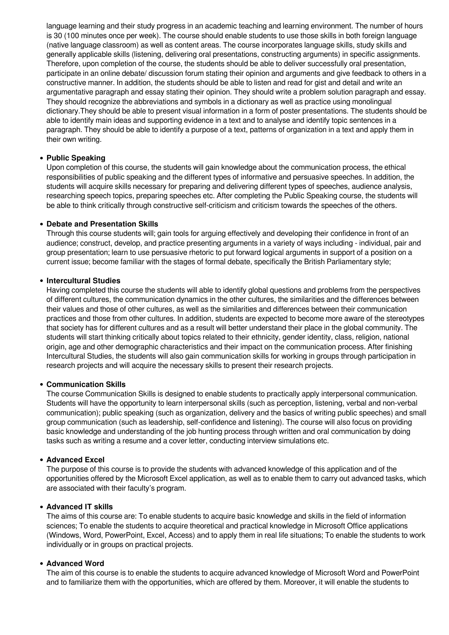language learning and their study progress in an academic teaching and learning environment. The number of hours is 30 (100 minutes once per week). The course should enable students to use those skills in both foreign language (native language classroom) as well as content areas. The course incorporates language skills, study skills and generally applicable skills (listening, delivering oral presentations, constructing arguments) in specific assignments. Therefore, upon completion of the course, the students should be able to deliver successfully oral presentation, participate in an online debate/ discussion forum stating their opinion and arguments and give feedback to others in a constructive manner. In addition, the students should be able to listen and read for gist and detail and write an argumentative paragraph and essay stating their opinion. They should write a problem solution paragraph and essay. They should recognize the abbreviations and symbols in a dictionary as well as practice using monolingual dictionary.They should be able to present visual information in a form of poster presentations. The students should be able to identify main ideas and supporting evidence in a text and to analyse and identify topic sentences in a paragraph. They should be able to identify a purpose of a text, patterns of organization in a text and apply them in their own writing.

## **Public Speaking**

Upon completion of this course, the students will gain knowledge about the communication process, the ethical responsibilities of public speaking and the different types of informative and persuasive speeches. In addition, the students will acquire skills necessary for preparing and delivering different types of speeches, audience analysis, researching speech topics, preparing speeches etc. After completing the Public Speaking course, the students will be able to think critically through constructive self-criticism and criticism towards the speeches of the others.

### **Debate and Presentation Skills**

Through this course students will; gain tools for arguing effectively and developing their confidence in front of an audience; construct, develop, and practice presenting arguments in a variety of ways including - individual, pair and group presentation; learn to use persuasive rhetoric to put forward logical arguments in support of a position on a current issue; become familiar with the stages of formal debate, specifically the British Parliamentary style;

#### **Intercultural Studies**

Having completed this course the students will able to identify global questions and problems from the perspectives of different cultures, the communication dynamics in the other cultures, the similarities and the differences between their values and those of other cultures, as well as the similarities and differences between their communication practices and those from other cultures. In addition, students are expected to become more aware of the stereotypes that society has for different cultures and as a result will better understand their place in the global community. The students will start thinking critically about topics related to their ethnicity, gender identity, class, religion, national origin, age and other demographic characteristics and their impact on the communication process. After finishing Intercultural Studies, the students will also gain communication skills for working in groups through participation in research projects and will acquire the necessary skills to present their research projects.

#### **Communication Skills**

The course Communication Skills is designed to enable students to practically apply interpersonal communication. Students will have the opportunity to learn interpersonal skills (such as perception, listening, verbal and non-verbal communication); public speaking (such as organization, delivery and the basics of writing public speeches) and small group communication (such as leadership, self-confidence and listening). The course will also focus on providing basic knowledge and understanding of the job hunting process through written and oral communication by doing tasks such as writing a resume and a cover letter, conducting interview simulations etc.

#### **Advanced Excel**

The purpose of this course is to provide the students with advanced knowledge of this application and of the opportunities offered by the Microsoft Excel application, as well as to enable them to carry out advanced tasks, which are associated with their faculty's program.

## **Advanced IT skills**

The aims of this course are: To enable students to acquire basic knowledge and skills in the field of information sciences; To enable the students to acquire theoretical and practical knowledge in Microsoft Office applications (Windows, Word, PowerPoint, Excel, Access) and to apply them in real life situations; To enable the students to work individually or in groups on practical projects.

#### **Advanced Word**

The aim of this course is to enable the students to acquire advanced knowledge of Microsoft Word and PowerPoint and to familiarize them with the opportunities, which are offered by them. Moreover, it will enable the students to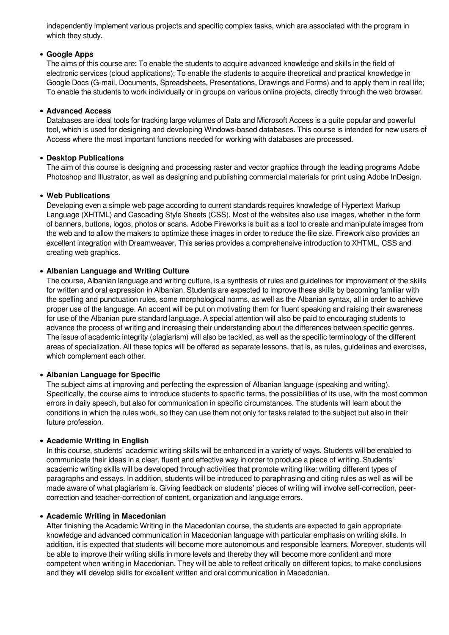independently implement various projects and specific complex tasks, which are associated with the program in which they study.

## **Google Apps**

The aims of this course are: To enable the students to acquire advanced knowledge and skills in the field of electronic services (cloud applications); To enable the students to acquire theoretical and practical knowledge in Google Docs (G-mail, Documents, Spreadsheets, Presentations, Drawings and Forms) and to apply them in real life; To enable the students to work individually or in groups on various online projects, directly through the web browser.

## **Advanced Access**

Databases are ideal tools for tracking large volumes of Data and Microsoft Access is a quite popular and powerful tool, which is used for designing and developing Windows-based databases. This course is intended for new users of Access where the most important functions needed for working with databases are processed.

### **Desktop Publications**

The aim of this course is designing and processing raster and vector graphics through the leading programs Adobe Photoshop and Illustrator, as well as designing and publishing commercial materials for print using Adobe InDesign.

### **Web Publications**

Developing even a simple web page according to current standards requires knowledge of Hypertext Markup Language (XHTML) and Cascading Style Sheets (CSS). Most of the websites also use images, whether in the form of banners, buttons, logos, photos or scans. Adobe Fireworks is built as a tool to create and manipulate images from the web and to allow the makers to optimize these images in order to reduce the file size. Firework also provides an excellent integration with Dreamweaver. This series provides a comprehensive introduction to XHTML, CSS and creating web graphics.

# **Albanian Language and Writing Culture**

The course, Albanian language and writing culture, is a synthesis of rules and guidelines for improvement of the skills for written and oral expression in Albanian. Students are expected to improve these skills by becoming familiar with the spelling and punctuation rules, some morphological norms, as well as the Albanian syntax, all in order to achieve proper use of the language. An accent will be put on motivating them for fluent speaking and raising their awareness for use of the Albanian pure standard language. A special attention will also be paid to encouraging students to advance the process of writing and increasing their understanding about the differences between specific genres. The issue of academic integrity (plagiarism) will also be tackled, as well as the specific terminology of the different areas of specialization. All these topics will be offered as separate lessons, that is, as rules, guidelines and exercises, which complement each other.

# **Albanian Language for Specific**

The subject aims at improving and perfecting the expression of Albanian language (speaking and writing). Specifically, the course aims to introduce students to specific terms, the possibilities of its use, with the most common errors in daily speech, but also for communication in specific circumstances. The students will learn about the conditions in which the rules work, so they can use them not only for tasks related to the subject but also in their future profession.

### **Academic Writing in English**

In this course, students' academic writing skills will be enhanced in a variety of ways. Students will be enabled to communicate their ideas in a clear, fluent and effective way in order to produce a piece of writing. Students' academic writing skills will be developed through activities that promote writing like: writing different types of paragraphs and essays. In addition, students will be introduced to paraphrasing and citing rules as well as will be made aware of what plagiarism is. Giving feedback on students' pieces of writing will involve self-correction, peercorrection and teacher-correction of content, organization and language errors.

#### **Academic Writing in Macedonian**

After finishing the Academic Writing in the Macedonian course, the students are expected to gain appropriate knowledge and advanced communication in Macedonian language with particular emphasis on writing skills. In addition, it is expected that students will become more autonomous and responsible learners. Moreover, students will be able to improve their writing skills in more levels and thereby they will become more confident and more competent when writing in Macedonian. They will be able to reflect critically on different topics, to make conclusions and they will develop skills for excellent written and oral communication in Macedonian.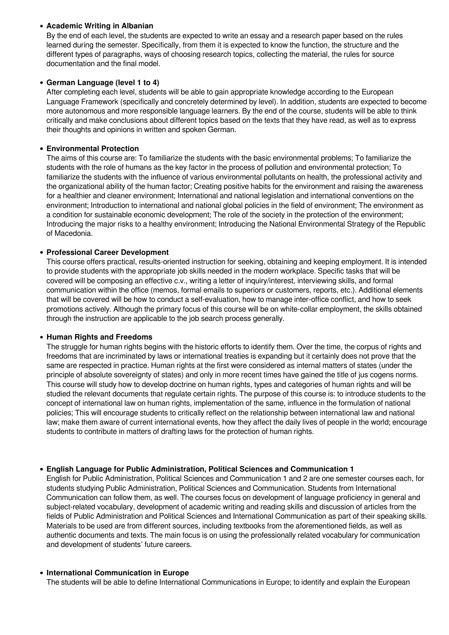# **Academic Writing in Albanian**

By the end of each level, the students are expected to write an essay and a research paper based on the rules learned during the semester. Specifically, from them it is expected to know the function, the structure and the different types of paragraphs, ways of choosing research topics, collecting the material, the rules for source documentation and the final model.

# **German Language (level 1 to 4)**

After completing each level, students will be able to gain appropriate knowledge according to the European Language Framework (specifically and concretely determined by level). In addition, students are expected to become more autonomous and more responsible language learners. By the end of the course, students will be able to think critically and make conclusions about different topics based on the texts that they have read, as well as to express their thoughts and opinions in written and spoken German.

# **Environmental Protection**

The aims of this course are: To familiarize the students with the basic environmental problems; To familiarize the students with the role of humans as the key factor in the process of pollution and environmental protection; To familiarize the students with the influence of various environmental pollutants on health, the professional activity and the organizational ability of the human factor; Creating positive habits for the environment and raising the awareness for a healthier and cleaner environment; International and national legislation and international conventions on the environment; Introduction to international and national global policies in the field of environment; The environment as a condition for sustainable economic development; The role of the society in the protection of the environment; Introducing the major risks to a healthy environment; Introducing the National Environmental Strategy of the Republic of Macedonia.

# **Professional Careеr Development**

This course offers practical, results-oriented instruction for seeking, obtaining and keeping employment. It is intended to provide students with the appropriate job skills needed in the modern workplace. Specific tasks that will be covered will be composing an effective c.v., writing a letter of inquiry/interest, interviewing skills, and formal communication within the office (memos, formal emails to superiors or customers, reports, etc.). Additional elements that will be covered will be how to conduct a self-evaluation, how to manage inter-office conflict, and how to seek promotions actively. Although the primary focus of this course will be on white-collar employment, the skills obtained through the instruction are applicable to the job search process generally.

# **Human Rights and Freedoms**

The struggle for human rights begins with the historic efforts to identify them. Over the time, the corpus of rights and freedoms that are incriminated by laws or international treaties is expanding but it certainly does not prove that the same are respected in practice. Human rights at the first were considered as internal matters of states (under the principle of absolute sovereignty of states) and only in more recent times have gained the title of jus cogens norms. This course will study how to develop doctrine on human rights, types and categories of human rights and will be studied the relevant documents that regulate certain rights. The purpose of this course is: to introduce students to the concept of international law on human rights, implementation of the same, influence in the formulation of national policies; This will encourage students to critically reflect on the relationship between international law and national law; make them aware of current international events, how they affect the daily lives of people in the world; encourage students to contribute in matters of drafting laws for the protection of human rights.

# **English Language for Public Administration, Political Sciences and Communication 1**

English for Public Administration, Political Sciences and Communication 1 and 2 are one semester courses each, for students studying Public Administration, Political Sciences and Communication. Students from International Communication can follow them, as well. The courses focus on development of language proficiency in general and subject-related vocabulary, development of academic writing and reading skills and discussion of articles from the fields of Public Administration and Political Sciences and International Communication as part of their speaking skills. Materials to be used are from different sources, including textbooks from the aforementioned fields, as well as authentic documents and texts. The main focus is on using the professionally related vocabulary for communication and development of students' future careers.

# **International Communication in Europe**

The students will be able to define International Communications in Europe; to identify and explain the European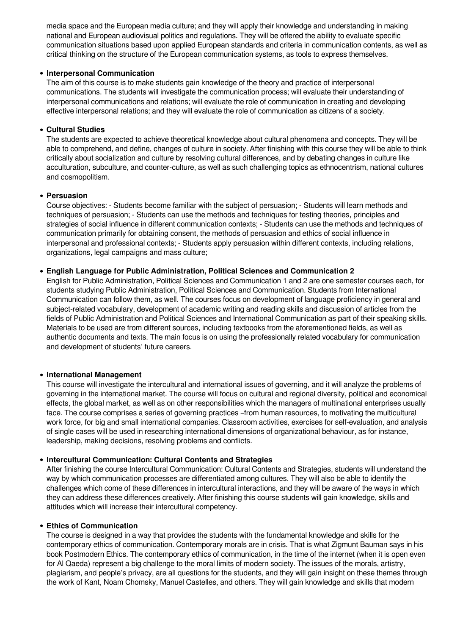media space and the European media culture; and they will apply their knowledge and understanding in making national and European audiovisual politics and regulations. They will be offered the ability to evaluate specific communication situations based upon applied European standards and criteria in communication contents, as well as critical thinking on the structure of the European communication systems, as tools to express themselves.

# **Interpersonal Communication**

The aim of this course is to make students gain knowledge of the theory and practice of interpersonal communications. The students will investigate the communication process; will evaluate their understanding of interpersonal communications and relations; will evaluate the role of communication in creating and developing effective interpersonal relations; and they will evaluate the role of communication as citizens of a society.

## **Cultural Studies**

The students are expected to achieve theoretical knowledge about cultural phenomena and concepts. They will be able to comprehend, and define, changes of culture in society. After finishing with this course they will be able to think critically about socialization and culture by resolving cultural differences, and by debating changes in culture like acculturation, subculture, and counter-culture, as well as such challenging topics as ethnocentrism, national cultures and cosmopolitism.

### **Persuasion**

Course objectives: - Students become familiar with the subject of persuasion; - Students will learn methods and techniques of persuasion; - Students can use the methods and techniques for testing theories, principles and strategies of social influence in different communication contexts; - Students can use the methods and techniques of communication primarily for obtaining consent, the methods of persuasion and ethics of social influence in interpersonal and professional contexts; - Students apply persuasion within different contexts, including relations, organizations, legal campaigns and mass culture;

# **English Language for Public Administration, Political Sciences and Communication 2**

English for Public Administration, Political Sciences and Communication 1 and 2 are one semester courses each, for students studying Public Administration, Political Sciences and Communication. Students from International Communication can follow them, as well. The courses focus on development of language proficiency in general and subject-related vocabulary, development of academic writing and reading skills and discussion of articles from the fields of Public Administration and Political Sciences and International Communication as part of their speaking skills. Materials to be used are from different sources, including textbooks from the aforementioned fields, as well as authentic documents and texts. The main focus is on using the professionally related vocabulary for communication and development of students' future careers.

# **International Management**

This course will investigate the intercultural and international issues of governing, and it will analyze the problems of governing in the international market. The course will focus on cultural and regional diversity, political and economical effects, the global market, as well as on other responsibilities which the managers of multinational enterprises usually face. The course comprises a series of governing practices –from human resources, to motivating the multicultural work force, for big and small international companies. Classroom activities, exercises for self-evaluation, and analysis of single cases will be used in researching international dimensions of organizational behaviour, as for instance, leadership, making decisions, resolving problems and conflicts.

# **Intercultural Communication: Cultural Contents and Strategies**

After finishing the course Intercultural Communication: Cultural Contents and Strategies, students will understand the way by which communication processes are differentiated among cultures. They will also be able to identify the challenges which come of these differences in intercultural interactions, and they will be aware of the ways in which they can address these differences creatively. After finishing this course students will gain knowledge, skills and attitudes which will increase their intercultural competency.

#### **Ethics of Communication**

The course is designed in a way that provides the students with the fundamental knowledge and skills for the contemporary ethics of communication. Contemporary morals are in crisis. That is what Zigmunt Bauman says in his book Postmodern Ethics. The contemporary ethics of communication, in the time of the internet (when it is open even for Al Qaeda) represent a big challenge to the moral limits of modern society. The issues of the morals, artistry, plagiarism, and people's privacy, are all questions for the students, and they will gain insight on these themes through the work of Kant, Noam Chomsky, Manuel Castelles, and others. They will gain knowledge and skills that modern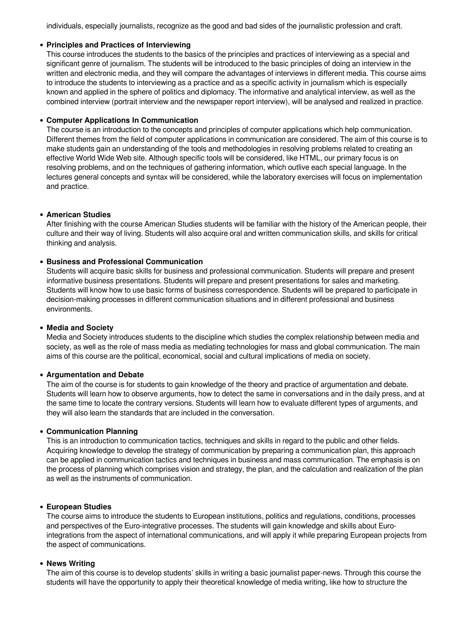individuals, especially journalists, recognize as the good and bad sides of the journalistic profession and craft.

# **Principles and Practices of Interviewing**

This course introduces the students to the basics of the principles and practices of interviewing as a special and significant genre of journalism. The students will be introduced to the basic principles of doing an interview in the written and electronic media, and they will compare the advantages of interviews in different media. This course aims to introduce the students to interviewing as a practice and as a specific activity in journalism which is especially known and applied in the sphere of politics and diplomacy. The informative and analytical interview, as well as the combined interview (portrait interview and the newspaper report interview), will be analysed and realized in practice.

## **Computer Applications In Communication**

The course is an introduction to the concepts and principles of computer applications which help communication. Different themes from the field of computer applications in communication are considered. The aim of this course is to make students gain an understanding of the tools and methodologies in resolving problems related to creating an effective World Wide Web site. Although specific tools will be considered, like HTML, our primary focus is on resolving problems, and on the techniques of gathering information, which outlive each special language. In the lectures general concepts and syntax will be considered, while the laboratory exercises will focus on implementation and practice.

### **American Studies**

After finishing with the course American Studies students will be familiar with the history of the American people, their culture and their way of living. Students will also acquire oral and written communication skills, and skills for critical thinking and analysis.

# **Business and Professional Communication**

Students will acquire basic skills for business and professional communication. Students will prepare and present informative business presentations. Students will prepare and present presentations for sales and marketing. Students will know how to use basic forms of business correspondence. Students will be prepared to participate in decision-making processes in different communication situations and in different professional and business environments.

#### **Media and Society**

Media and Society introduces students to the discipline which studies the complex relationship between media and society, as well as the role of mass media as mediating technologies for mass and global communication. The main aims of this course are the political, economical, social and cultural implications of media on society.

# **Argumentation and Debate**

The aim of the course is for students to gain knowledge of the theory and practice of argumentation and debate. Students will learn how to observe arguments, how to detect the same in conversations and in the daily press, and at the same time to locate the contrary versions. Students will learn how to evaluate different types of arguments, and they will also learn the standards that are included in the conversation.

#### **Communication Planning**

This is an introduction to communication tactics, techniques and skills in regard to the public and other fields. Acquiring knowledge to develop the strategy of communication by preparing a communication plan, this approach can be applied in communication tactics and techniques in business and mass communication. The emphasis is on the process of planning which comprises vision and strategy, the plan, and the calculation and realization of the plan as well as the instruments of communication.

# **European Studies**

The course aims to introduce the students to European institutions, politics and regulations, conditions, processes and perspectives of the Euro-integrative processes. The students will gain knowledge and skills about Eurointegrations from the aspect of international communications, and will apply it while preparing European projects from the aspect of communications.

#### **News Writing**

The aim of this course is to develop students' skills in writing a basic journalist paper-news. Through this course the students will have the opportunity to apply their theoretical knowledge of media writing, like how to structure the